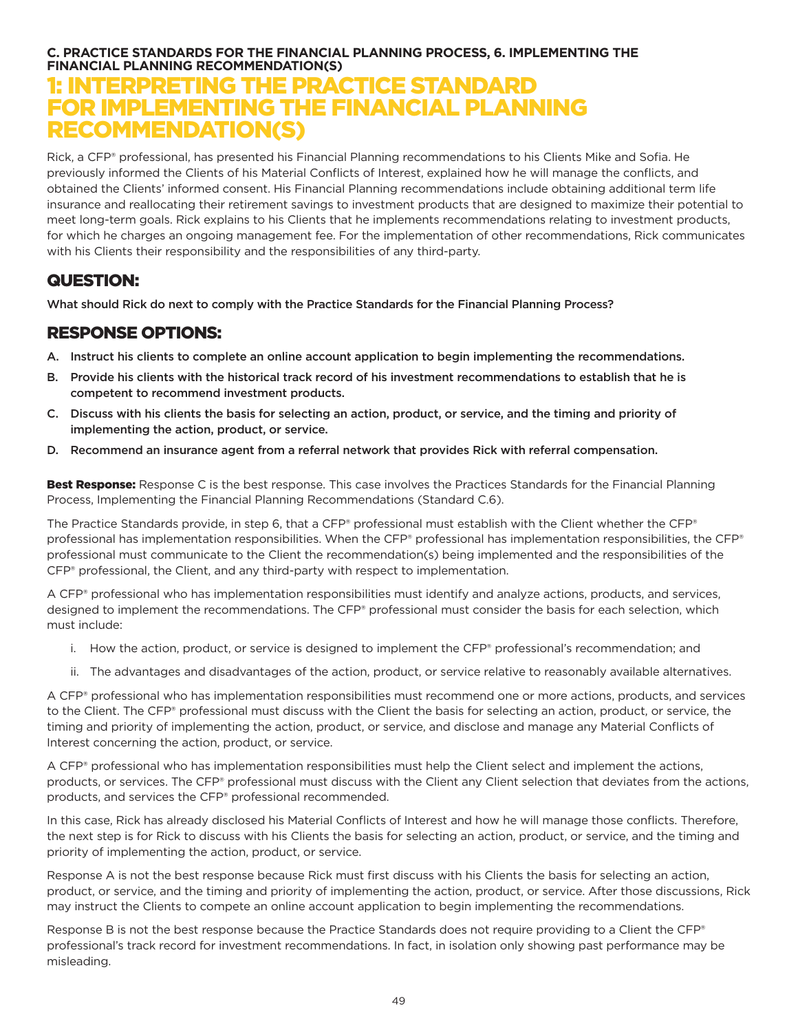## **C. PRACTICE STANDARDS FOR THE FINANCIAL PLANNING PROCESS, 6. IMPLEMENTING THE FINANCIAL PLANNING RECOMMENDATION(S)**

## 1: INTERPRETING THE PRACTICE STANDARD FOR IMPLEMENTING THE FINANCIAL PLANNING RECOMMENDATION(S)

Rick, a CFP® professional, has presented his Financial Planning recommendations to his Clients Mike and Sofia. He previously informed the Clients of his Material Conflicts of Interest, explained how he will manage the conflicts, and obtained the Clients' informed consent. His Financial Planning recommendations include obtaining additional term life insurance and reallocating their retirement savings to investment products that are designed to maximize their potential to meet long-term goals. Rick explains to his Clients that he implements recommendations relating to investment products, for which he charges an ongoing management fee. For the implementation of other recommendations, Rick communicates with his Clients their responsibility and the responsibilities of any third-party.

## QUESTION:

What should Rick do next to comply with the Practice Standards for the Financial Planning Process?

## RESPONSE OPTIONS:

- A. Instruct his clients to complete an online account application to begin implementing the recommendations.
- B. Provide his clients with the historical track record of his investment recommendations to establish that he is competent to recommend investment products.
- C. Discuss with his clients the basis for selecting an action, product, or service, and the timing and priority of implementing the action, product, or service.
- D. Recommend an insurance agent from a referral network that provides Rick with referral compensation.

Best Response: Response C is the best response. This case involves the Practices Standards for the Financial Planning Process, Implementing the Financial Planning Recommendations (Standard C.6).

The Practice Standards provide, in step 6, that a CFP® professional must establish with the Client whether the CFP® professional has implementation responsibilities. When the CFP® professional has implementation responsibilities, the CFP® professional must communicate to the Client the recommendation(s) being implemented and the responsibilities of the CFP® professional, the Client, and any third-party with respect to implementation.

A CFP® professional who has implementation responsibilities must identify and analyze actions, products, and services, designed to implement the recommendations. The CFP® professional must consider the basis for each selection, which must include:

- i. How the action, product, or service is designed to implement the CFP® professional's recommendation; and
- ii. The advantages and disadvantages of the action, product, or service relative to reasonably available alternatives.

A CFP® professional who has implementation responsibilities must recommend one or more actions, products, and services to the Client. The CFP® professional must discuss with the Client the basis for selecting an action, product, or service, the timing and priority of implementing the action, product, or service, and disclose and manage any Material Conflicts of Interest concerning the action, product, or service.

A CFP® professional who has implementation responsibilities must help the Client select and implement the actions, products, or services. The CFP® professional must discuss with the Client any Client selection that deviates from the actions, products, and services the CFP® professional recommended.

In this case, Rick has already disclosed his Material Conflicts of Interest and how he will manage those conflicts. Therefore, the next step is for Rick to discuss with his Clients the basis for selecting an action, product, or service, and the timing and priority of implementing the action, product, or service.

Response A is not the best response because Rick must first discuss with his Clients the basis for selecting an action, product, or service, and the timing and priority of implementing the action, product, or service. After those discussions, Rick may instruct the Clients to compete an online account application to begin implementing the recommendations.

Response B is not the best response because the Practice Standards does not require providing to a Client the CFP® professional's track record for investment recommendations. In fact, in isolation only showing past performance may be misleading.